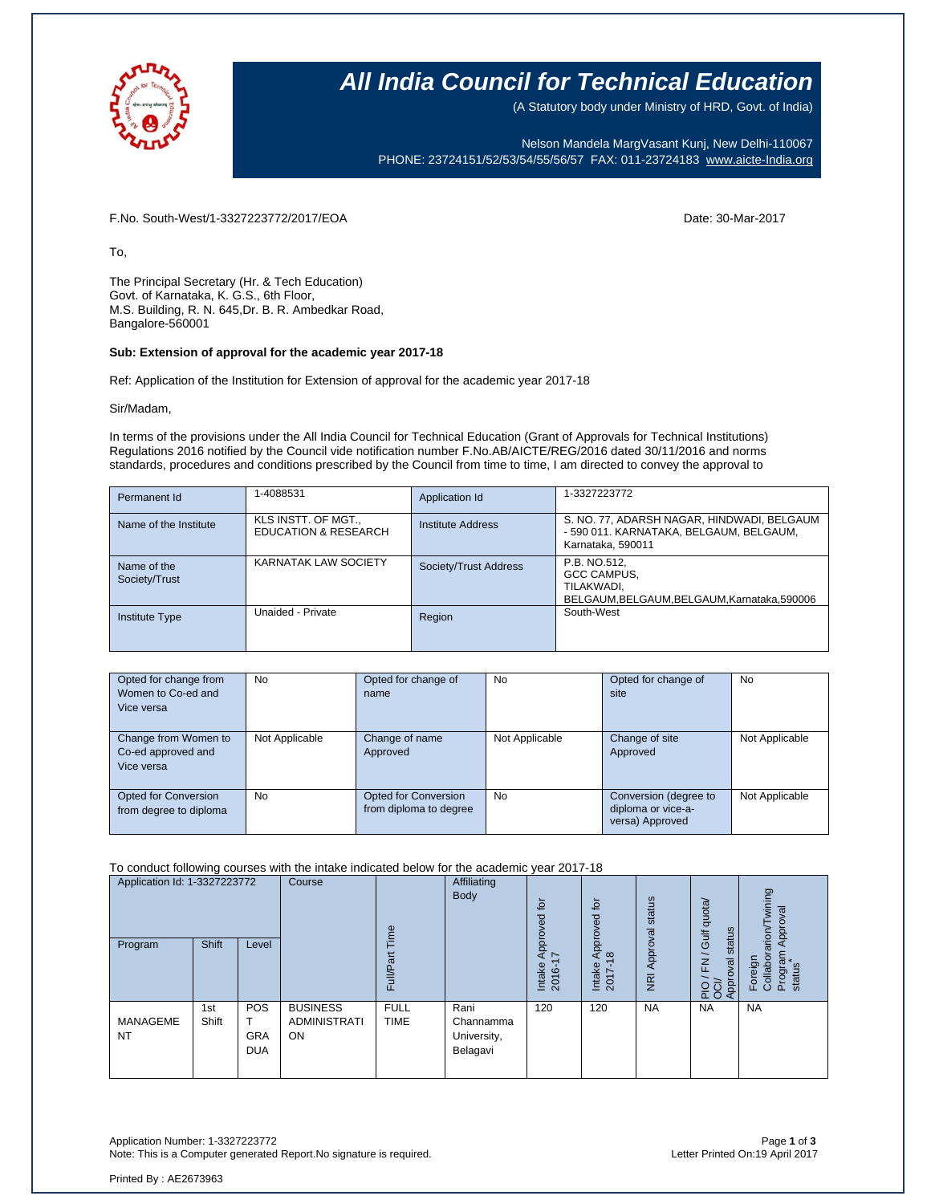

## **All India Council for Technical Education**

(A Statutory body under Ministry of HRD, Govt. of India)

Nelson Mandela MargVasant Kunj, New Delhi-110067 PHONE: 23724151/52/53/54/55/56/57 FAX: 011-23724183 [www.aicte-India.org](http://www.aicte-india.org/)

F.No. South-West/1-3327223772/2017/EOA Date: 30-Mar-2017

To,

The Principal Secretary (Hr. & Tech Education) Govt. of Karnataka, K. G.S., 6th Floor, M.S. Building, R. N. 645,Dr. B. R. Ambedkar Road, Bangalore-560001

#### **Sub: Extension of approval for the academic year 2017-18**

Ref: Application of the Institution for Extension of approval for the academic year 2017-18

Sir/Madam,

In terms of the provisions under the All India Council for Technical Education (Grant of Approvals for Technical Institutions) Regulations 2016 notified by the Council vide notification number F.No.AB/AICTE/REG/2016 dated 30/11/2016 and norms standards, procedures and conditions prescribed by the Council from time to time, I am directed to convey the approval to

| Permanent Id                 | 1-4088531                                              | Application Id        | 1-3327223772                                                                                               |
|------------------------------|--------------------------------------------------------|-----------------------|------------------------------------------------------------------------------------------------------------|
| Name of the Institute        | KLS INSTT. OF MGT.,<br><b>EDUCATION &amp; RESEARCH</b> | Institute Address     | S. NO. 77, ADARSH NAGAR, HINDWADI, BELGAUM<br>- 590 011. KARNATAKA, BELGAUM, BELGAUM,<br>Karnataka, 590011 |
| Name of the<br>Society/Trust | <b>KARNATAK LAW SOCIETY</b>                            | Society/Trust Address | P.B. NO.512,<br>GCC CAMPUS,<br>TILAKWADI.<br>BELGAUM, BELGAUM, BELGAUM, Karnataka, 590006                  |
| <b>Institute Type</b>        | Unaided - Private                                      | Region                | South-West                                                                                                 |

| Opted for change from<br>Women to Co-ed and<br>Vice versa | <b>No</b>      | Opted for change of<br>name                    | <b>No</b>      | Opted for change of<br>site                                    | <b>No</b>      |
|-----------------------------------------------------------|----------------|------------------------------------------------|----------------|----------------------------------------------------------------|----------------|
| Change from Women to<br>Co-ed approved and<br>Vice versa  | Not Applicable | Change of name<br>Approved                     | Not Applicable | Change of site<br>Approved                                     | Not Applicable |
| Opted for Conversion<br>from degree to diploma            | <b>No</b>      | Opted for Conversion<br>from diploma to degree | <b>No</b>      | Conversion (degree to<br>diploma or vice-a-<br>versa) Approved | Not Applicable |

#### To conduct following courses with the intake indicated below for the academic year 2017-18

| Application Id: 1-3327223772<br>Shift<br>Program<br>Level |              | Course                                 | Time<br>ξ                                    | Affiliating<br>Body        | for<br>요<br>Appro <sup>,</sup><br>$\sim$     | ίō<br>yed<br>ppro<br>₹<br>$\frac{\infty}{2}$ | Approval status | Gulf quota/<br>status<br>$\overline{\phantom{0}}$ | wining<br>Approval<br>Foreign<br>Collaborarion/T                  |                   |
|-----------------------------------------------------------|--------------|----------------------------------------|----------------------------------------------|----------------------------|----------------------------------------------|----------------------------------------------|-----------------|---------------------------------------------------|-------------------------------------------------------------------|-------------------|
|                                                           |              |                                        |                                              | Full/P                     |                                              | Intake<br>2016-                              | Intake<br>2017  | $\overline{g}$                                    | $\overline{\underline{\epsilon}}$<br>PIO / FN<br>OCI/<br>Approval | Program<br>status |
| <b>MANAGEME</b><br><b>NT</b>                              | 1st<br>Shift | <b>POS</b><br><b>GRA</b><br><b>DUA</b> | <b>BUSINESS</b><br><b>ADMINISTRATI</b><br>ON | <b>FULL</b><br><b>TIME</b> | Rani<br>Channamma<br>University,<br>Belagavi | 120                                          | 120             | <b>NA</b>                                         | <b>NA</b>                                                         | <b>NA</b>         |

Application Number: 1-3327223772 Page **1** of **3** Note: This is a Computer generated Report.No signature is required.

Printed By : AE2673963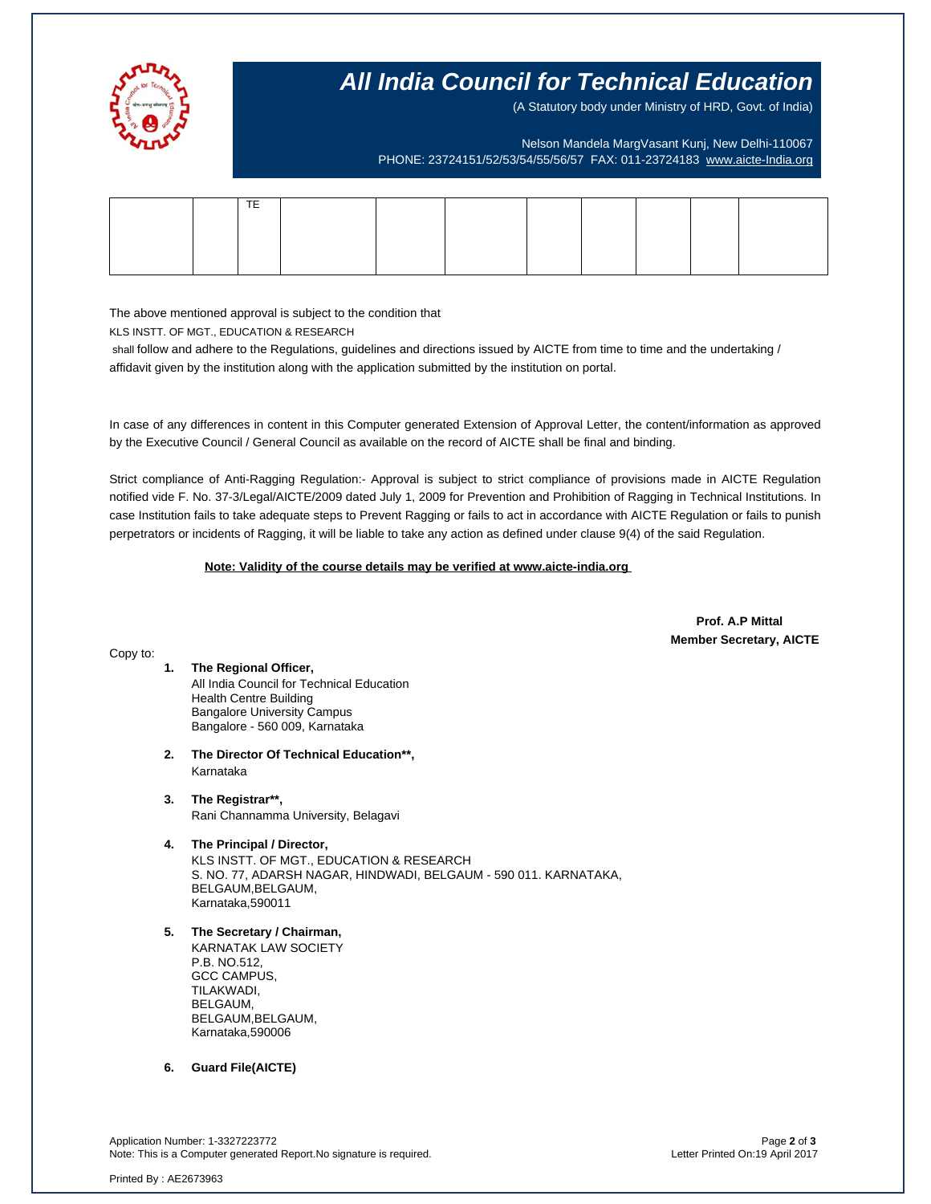

Copy to:

## **All India Council for Technical Education**

(A Statutory body under Ministry of HRD, Govt. of India)

Nelson Mandela MargVasant Kunj, New Delhi-110067 PHONE: 23724151/52/53/54/55/56/57 FAX: 011-23724183 [www.aicte-India.org](http://www.aicte-india.org/)

| $-$ |  |  |  |  |
|-----|--|--|--|--|
|     |  |  |  |  |
|     |  |  |  |  |
|     |  |  |  |  |

The above mentioned approval is subject to the condition that

KLS INSTT. OF MGT., EDUCATION & RESEARCH

shall follow and adhere to the Regulations, guidelines and directions issued by AICTE from time to time and the undertaking / affidavit given by the institution along with the application submitted by the institution on portal.

In case of any differences in content in this Computer generated Extension of Approval Letter, the content/information as approved by the Executive Council / General Council as available on the record of AICTE shall be final and binding.

Strict compliance of Anti-Ragging Regulation:- Approval is subject to strict compliance of provisions made in AICTE Regulation notified vide F. No. 37-3/Legal/AICTE/2009 dated July 1, 2009 for Prevention and Prohibition of Ragging in Technical Institutions. In case Institution fails to take adequate steps to Prevent Ragging or fails to act in accordance with AICTE Regulation or fails to punish perpetrators or incidents of Ragging, it will be liable to take any action as defined under clause 9(4) of the said Regulation.

 **Note: Validity of the course details may be verified at www.aicte-india.org** 

 **Prof. A.P Mittal Member Secretary, AICTE**

### **1. The Regional Officer,** All India Council for Technical Education Health Centre Building Bangalore University Campus

Bangalore - 560 009, Karnataka

- **2. The Director Of Technical Education\*\*,** Karnataka
- **3. The Registrar\*\*,** Rani Channamma University, Belagavi
- **4. The Principal / Director,** KLS INSTT. OF MGT., EDUCATION & RESEARCH S. NO. 77, ADARSH NAGAR, HINDWADI, BELGAUM - 590 011. KARNATAKA, BELGAUM,BELGAUM, Karnataka,590011
- **5. The Secretary / Chairman,**

KARNATAK LAW SOCIETY P.B. NO.512, GCC CAMPUS, TILAKWADI, BELGAUM, BELGAUM,BELGAUM, Karnataka,590006

**6. Guard File(AICTE)**

Application Number: 1-3327223772 Page **2** of **3** Note: This is a Computer generated Report.No signature is required.